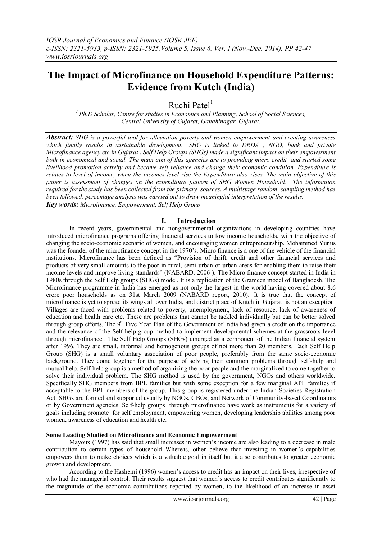# **The Impact of Microfinance on Household Expenditure Patterns: Evidence from Kutch (India)**

Ruchi Patel $<sup>1</sup>$ </sup>

*<sup>1</sup>Ph.D Scholar, Centre for studies in Economics and Planning, School of Social Sciences, Central University of Gujarat, Gandhinagar, Gujarat.*

*Abstract: SHG is a powerful tool for alleviation poverty and women empowerment and creating awareness which finally results in sustainable development. SHG is linked to DRDA , NGO, bank and private Microfinance agency etc in Gujarat . Self Help Groups (SHGs) made a significant impact on their empowerment both in economical and social. The main aim of this agencies are to providing micro credit and started some livelihood promotion activity and became self reliance and change their economic condition. Expenditure is relates to level of income, when the incomes level rise the Expenditure also rises. The main objective of this paper is assessment of changes on the expenditure pattern of SHG Women Household. The information required for the study has been collected from the primary sources. A multistage random sampling method has been followed. percentage analysis was carried out to draw meaningful interpretation of the results. Key words: Microfinance, Empowerment, Self Help Group* 

# **I. Introduction**

In recent years, governmental and nongovernmental organizations in developing countries have introduced microfinance programs offering financial services to low income households, with the objective of changing the socio-economic scenario of women, and encouraging women entrepreneurship. Mohammed Yunus was the founder of the microfinance concept in the 1970's. Micro finance is a one of the vehicle of the financial institutions. Microfinance has been defined as "Provision of thrift, credit and other financial services and products of very small amounts to the poor in rural, semi-urban or urban areas for enabling them to raise their income levels and improve living standards" (NABARD, 2006 ). The Micro finance concept started in India in 1980s through the Self Help groups (SHGs) model. It is a replication of the Grameen model of Bangladesh. The Microfinance programme in India has emerged as not only the largest in the world having covered about 8.6 crore poor households as on 31st March 2009 (NABARD report, 2010). It is true that the concept of microfinance is yet to spread its wings all over India, and district place of Kutch in Gujarat is not an exception. Villages are faced with problems related to poverty, unemployment, lack of resource, lack of awareness of education and health care etc. These are problems that cannot be tackled individually but can be better solved through group efforts. The 9<sup>th</sup> Five Year Plan of the Government of India had given a credit on the importance and the relevance of the Self-help group method to implement developmental schemes at the grassroots level through microfinance . The Self Help Groups (SHGs) emerged as a component of the Indian financial system after 1996. They are small, informal and homogenous groups of not more than 20 members. Each Self Help Group (SHG) is a small voluntary association of poor people, preferably from the same socio-economic background. They come together for the purpose of solving their common problems through self-help and mutual help. Self-help group is a method of organizing the poor people and the marginalized to come together to solve their individual problem. The SHG method is used by the government, NGOs and others worldwide. Specifically SHG members from BPL families but with some exception for a few marginal APL families if acceptable to the BPL members of the group. This group is registered under the Indian Societies Registration Act. SHGs are formed and supported usually by NGOs, CBOs, and Network of Community-based Coordinators or by Government agencies. Self-help groups through microfinance have work as instruments for a variety of goals including promote for self employment, empowering women, developing leadership abilities among poor women, awareness of education and health etc.

### **Some Leading Studied on Microfinance and Economic Empowerment**

Mayoux (1997) has said that small increases in women"s income are also leading to a decrease in male contribution to certain types of household Whereas, other believe that investing in women"s capabilities empowers them to make choices which is a valuable goal in itself but it also contributes to greater economic growth and development.

According to the Hashemi (1996) women"s access to credit has an impact on their lives, irrespective of who had the managerial control. Their results suggest that women's access to credit contributes significantly to the magnitude of the economic contributions reported by women, to the likelihood of an increase in asset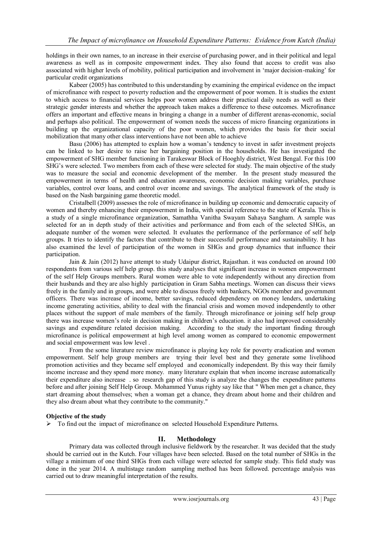holdings in their own names, to an increase in their exercise of purchasing power, and in their political and legal awareness as well as in composite empowerment index. They also found that access to credit was also associated with higher levels of mobility, political participation and involvement in "major decision-making" for particular credit organizations

Kabeer (2005) has contributed to this understanding by examining the empirical evidence on the impact of microfinance with respect to poverty reduction and the empowerment of poor women. It is studies the extent to which access to financial services helps poor women address their practical daily needs as well as their strategic gender interests and whether the approach taken makes a difference to these outcomes. Microfinance offers an important and effective means in bringing a change in a number of different arenas-economic, social and perhaps also political. The empowerment of women needs the success of micro financing organizations in building up the organizational capacity of the poor women, which provides the basis for their social mobilization that many other class interventions have not been able to achieve

Basu (2006) has attempted to explain how a woman"s tendency to invest in safer investment projects can be linked to her desire to raise her bargaining position in the households. He has investigated the empowerment of SHG member functioning in Tarakeswar Block of Hooghly district, West Bengal. For this 100 SHG"s were selected. Two members from each of these were selected for study. The main objective of the study was to measure the social and economic development of the member. In the present study measured the empowerment in terms of health and education awareness, economic decision making variables, purchase variables, control over loans, and control over income and savings. The analytical framework of the study is based on the Nash bargaining game theoretic model.

Cristalbell (2009) assesses the role of microfinance in building up economic and democratic capacity of women and thereby enhancing their empowerment in India, with special reference to the state of Kerala. This is a study of a single microfinance organization, Samathha Vanitha Swayam Sahaya Sangham. A sample was selected for an in depth study of their activities and performance and from each of the selected SHGs, an adequate number of the women were selected. It evaluates the performance of the performance of self help groups. It tries to identify the factors that contribute to their successful performance and sustainability. It has also examined the level of participation of the women in SHGs and group dynamics that influence their participation.

Jain & Jain (2012) have attempt to study Udaipur district, Rajasthan. it was conducted on around 100 respondents from various self help group. this study analyses that significant increase in women empowerment of the self Help Groups members. Rural women were able to vote independently without any direction from their husbands and they are also highly participation in Gram Sabha meetings. Women can discuss their views freely in the family and in groups, and were able to discuss freely with bankers, NGOs member and government officers. There was increase of income, better savings, reduced dependency on money lenders, undertaking income generating activities, ability to deal with the financial crisis and women moved independently to other places without the support of male members of the family. Through microfinance or joining self help group there was increase women"s role in decision making in children"s education. it also had improved considerably savings and expenditure related decision making. According to the study the important finding through microfinance is political empowerment at high level among women as compared to economic empowerment and social empowerment was low level .

From the some literature review microfinance is playing key role for poverty eradication and women empowerment. Self help group members are trying their level best and they generate some livelihood promotion activities and they became self employed and economically independent. By this way their family income increase and they spend more money. many literature explain that when income increase automatically their expenditure also increase . so research gap of this study is analyze the changes the expenditure patterns before and after joining Self Help Group. Mohammed Yunus righty say like that " When men get a chance, they start dreaming about themselves; when a woman get a chance, they dream about home and their children and they also dream about what they contribute to the community."

# **Objective of the study**

 $\triangleright$  To find out the impact of microfinance on selected Household Expenditure Patterns.

# **II. Methodology**

Primary data was collected through inclusive fieldwork by the researcher. It was decided that the study should be carried out in the Kutch. Four villages have been selected. Based on the total number of SHGs in the village a minimum of one third SHGs from each village were selected for sample study. This field study was done in the year 2014. A multistage random sampling method has been followed. percentage analysis was carried out to draw meaningful interpretation of the results.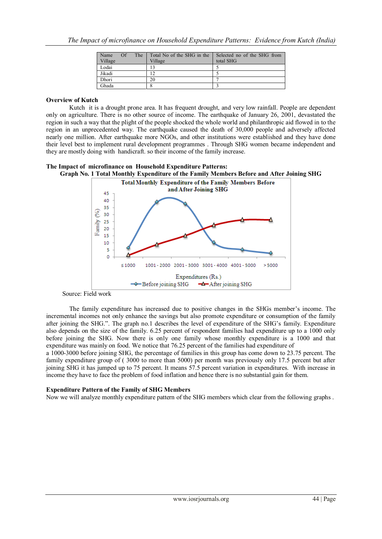| Name    | <b>The</b><br>$\Omega$ f | Total No of the SHG in the | Selected no of the SHG from |
|---------|--------------------------|----------------------------|-----------------------------|
| Village |                          | Village                    | total SHG                   |
| Lodai   |                          |                            |                             |
| Jikadi  |                          |                            |                             |
| Dhori   |                          | 20                         |                             |
| Ghada   |                          |                            |                             |

## **Overview of Kutch**

Kutch it is a drought prone area. It has frequent drought, and very low rainfall. People are dependent only on agriculture. There is no other source of income. The earthquake of January 26, 2001, devastated the region in such a way that the plight of the people shocked the whole world and philanthropic aid flowed in to the region in an unprecedented way. The earthquake caused the death of 30,000 people and adversely affected nearly one million. After earthquake more NGOs, and other institutions were established and they have done their level best to implement rural development programmes . Through SHG women became independent and they are mostly doing with handicraft. so their income of the family increase.

#### **The Impact of microfinance on Household Expenditure Patterns: Graph No. 1 Total Monthly Expenditure of the Family Members Before and After Joining SHG**





Source: Field work

The family expenditure has increased due to positive changes in the SHGs member"s income. The incremental incomes not only enhance the savings but also promote expenditure or consumption of the family after joining the SHG.". The graph no.1 describes the level of expenditure of the SHG"s family. Expenditure also depends on the size of the family. 6.25 percent of respondent families had expenditure up to a 1000 only before joining the SHG. Now there is only one family whose monthly expenditure is a 1000 and that expenditure was mainly on food. We notice that 76.25 percent of the families had expenditure of

a 1000-3000 before joining SHG, the percentage of families in this group has come down to 23.75 percent. The family expenditure group of ( 3000 to more than 5000) per month was previously only 17.5 percent but after joining SHG it has jumped up to 75 percent. It means 57.5 percent variation in expenditures. With increase in income they have to face the problem of food inflation and hence there is no substantial gain for them.

# **Expenditure Pattern of the Family of SHG Members**

Now we will analyze monthly expenditure pattern of the SHG members which clear from the following graphs .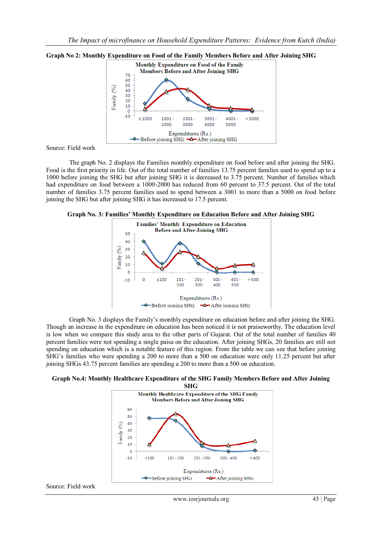

#### **Graph No 2: Monthly Expenditure on Food of the Family Members Before and After Joining SHG**

Source: Field work

The graph No. 2 displays the Families monthly expenditure on food before and after joining the SHG. Food is the first priority in life. Out of the total number of families 13.75 percent families used to spend up to a 1000 before joining the SHG but after joining SHG it is decreased to 3.75 percent. Number of families which had expenditure on food between a 1000-2000 has reduced from 60 percent to 37.5 percent. Out of the total number of families 3.75 percent families used to spend between a 3001 to more than a 5000 on food before joining the SHG but after joining SHG it has increased to 17.5 percent.





Graph No. 3 displays the Family"s monthly expenditure on education before and after joining the SHG. Though an increase in the expenditure on education has been noticed it is not praiseworthy. The education level is low when we compare this study area to the other parts of Gujarat. Out of the total number of families 40 percent families were not spending a single paisa on the education. After joining SHGs, 20 families are still not spending on education which is a notable feature of this region. From the table we can see that before joining SHG's families who were spending a 200 to more than a 500 on education were only 11.25 percent but after joining SHGs 43.75 percent families are spending a 200 to more than a 500 on education.





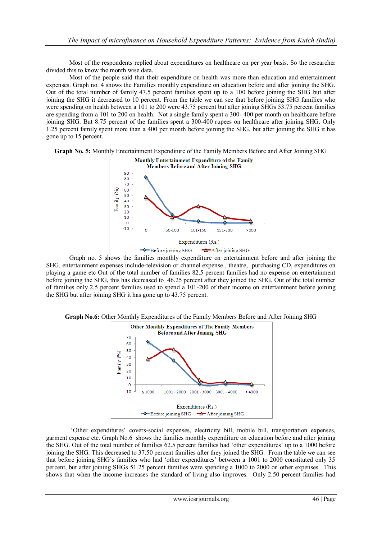Most of the respondents replied about expenditures on healthcare on per year basis. So the researcher divided this to know the month wise data.

Most of the people said that their expenditure on health was more than education and entertainment expenses. Graph no. 4 shows the Families monthly expenditure on education before and after joining the SHG. Out of the total number of family 47.5 percent families spent up to a 100 before joining the SHG but after joining the SHG it decreased to 10 percent. From the table we can see that before joining SHG families who were spending on health between a 101 to 200 were 43.75 percent but after joining SHGs 53.75 percent families are spending from a 101 to 200 on health. Not a single family spent a 300- 400 per month on healthcare before joining SHG. But 8.75 percent of the families spent a 300-400 rupees on healthcare after joining SHG. Only 1.25 percent family spent more than a 400 per month before joining the SHG, but after joining the SHG it has gone up to 15 percent.





Graph no. 5 shows the families monthly expenditure on entertainment before and after joining the SHG. entertainment expenses include-television or channel expense , theatre, purchasing CD, expenditures on playing a game etc Out of the total number of families 82.5 percent families had no expense on entertainment before joining the SHG, this has decreased to 46.25 percent after they joined the SHG. Out of the total number of families only 2.5 percent families used to spend a 101-200 of their income on entertainment before joining the SHG but after joining SHG it has gone up to 43.75 percent.



"Other expenditures" covers-social expenses, electricity bill, mobile bill, transportation expenses, garment expense etc. Graph No.6 shows the families monthly expenditure on education before and after joining the SHG. Out of the total number of families 62.5 percent families had "other expenditures" up to a 1000 before joining the SHG. This decreased to 37.50 percent families after they joined the SHG. From the table we can see that before joining SHG"s families who had "other expenditures" between a 1001 to 2000 constituted only 35 percent, but after joining SHGs 51.25 percent families were spending a 1000 to 2000 on other expenses. This shows that when the income increases the standard of living also improves. Only 2.50 percent families had